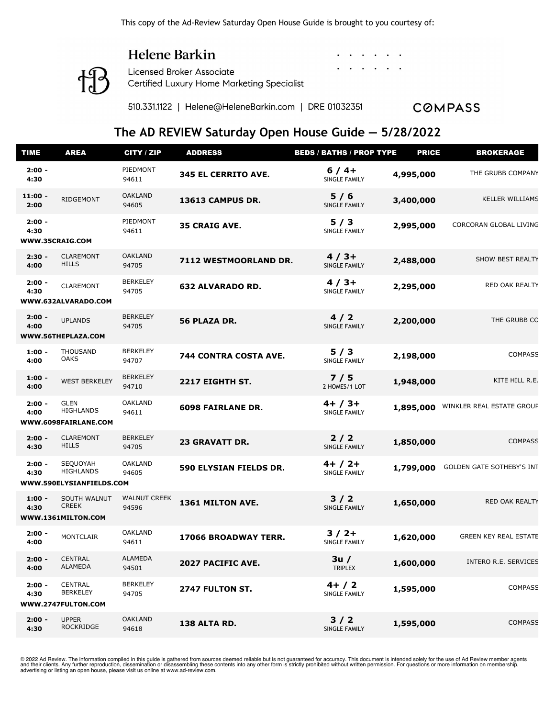#### Helene Barkin

**Licensed Broker Associate** Certified Luxury Home Marketing Specialist

510.331.1122 | Helene@HeleneBarkin.com | DRE 01032351

**COMPASS** 

#### **The AD REVIEW Saturday Open House Guide — 5/28/2022**

| <b>TIME</b>       | <b>AREA</b>                                              | CITY / ZIP                   | <b>ADDRESS</b>           | <b>BEDS / BATHS / PROP TYPE</b>   | <b>PRICE</b> | <b>BROKERAGE</b>             |
|-------------------|----------------------------------------------------------|------------------------------|--------------------------|-----------------------------------|--------------|------------------------------|
| $2:00 -$<br>4:30  |                                                          | PIEDMONT<br>94611            | 345 EL CERRITO AVE.      | $6/4+$<br><b>SINGLE FAMILY</b>    | 4,995,000    | THE GRUBB COMPANY            |
| $11:00 -$<br>2:00 | RIDGEMONT                                                | <b>OAKLAND</b><br>94605      | 13613 CAMPUS DR.         | 5/6<br>SINGLE FAMILY              | 3,400,000    | <b>KELLER WILLIAMS</b>       |
| $2:00 -$<br>4:30  | WWW.35CRAIG.COM                                          | PIEDMONT<br>94611            | <b>35 CRAIG AVE.</b>     | 5/3<br>SINGLE FAMILY              | 2,995,000    | CORCORAN GLOBAL LIVING       |
| $2:30 -$<br>4:00  | <b>CLAREMONT</b><br><b>HILLS</b>                         | <b>OAKLAND</b><br>94705      | 7112 WESTMOORLAND DR.    | $4/3+$<br>SINGLE FAMILY           | 2,488,000    | SHOW BEST REALTY             |
| $2:00 -$<br>4:30  | <b>CLAREMONT</b><br>WWW.632ALVARADO.COM                  | <b>BERKELEY</b><br>94705     | <b>632 ALVARADO RD.</b>  | $4/3+$<br>SINGLE FAMILY           | 2,295,000    | RED OAK REALTY               |
| $2:00 -$<br>4:00  | <b>UPLANDS</b><br>WWW.56THEPLAZA.COM                     | <b>BERKELEY</b><br>94705     | 56 PLAZA DR.             | 4/2<br>SINGLE FAMILY              | 2,200,000    | THE GRUBB CO                 |
| $1:00 -$<br>4:00  | <b>THOUSAND</b><br><b>OAKS</b>                           | <b>BERKELEY</b><br>94707     | 744 CONTRA COSTA AVE.    | 5/3<br>SINGLE FAMILY              | 2,198,000    | <b>COMPASS</b>               |
| $1:00 -$<br>4:00  | <b>WEST BERKELEY</b>                                     | <b>BERKELEY</b><br>94710     | 2217 EIGHTH ST.          | 7/5<br>2 HOMES/1 LOT              | 1,948,000    | KITE HILL R.E.               |
| $2:00 -$<br>4:00  | <b>GLEN</b><br><b>HIGHLANDS</b><br>WWW.6098FAIRLANE.COM  | <b>OAKLAND</b><br>94611      | <b>6098 FAIRLANE DR.</b> | $4+ / 3+$<br><b>SINGLE FAMILY</b> | 1,895,000    | WINKLER REAL ESTATE GROUP    |
| $2:00 -$<br>4:30  | <b>CLAREMONT</b><br><b>HILLS</b>                         | <b>BERKELEY</b><br>94705     | <b>23 GRAVATT DR.</b>    | $2/2$<br>SINGLE FAMILY            | 1,850,000    | <b>COMPASS</b>               |
| $2:00 -$<br>4:30  | SEQUOYAH<br><b>HIGHLANDS</b><br>WWW.590ELYSIANFIELDS.COM | <b>OAKLAND</b><br>94605      | 590 ELYSIAN FIELDS DR.   | $4+ / 2+$<br>SINGLE FAMILY        | 1,799,000    | GOLDEN GATE SOTHEBY'S INT    |
| $1:00 -$<br>4:30  | SOUTH WALNUT<br><b>CREEK</b><br>WWW.1361MILTON.COM       | <b>WALNUT CREEK</b><br>94596 | 1361 MILTON AVE.         | $3/2$<br>SINGLE FAMILY            | 1,650,000    | RED OAK REALTY               |
| $2:00 -$<br>4:00  | <b>MONTCLAIR</b>                                         | <b>OAKLAND</b><br>94611      | 17066 BROADWAY TERR.     | $3/2+$<br>SINGLE FAMILY           | 1,620,000    | <b>GREEN KEY REAL ESTATE</b> |
| $2:00 -$<br>4:00  | <b>CENTRAL</b><br>ALAMEDA                                | <b>ALAMEDA</b><br>94501      | 2027 PACIFIC AVE.        | 3u/<br><b>TRIPLEX</b>             | 1,600,000    | INTERO R.E. SERVICES         |
| $2:00 -$<br>4:30  | <b>CENTRAL</b><br><b>BERKELEY</b><br>WWW.2747FULTON.COM  | <b>BERKELEY</b><br>94705     | 2747 FULTON ST.          | $4+ / 2$<br>SINGLE FAMILY         | 1,595,000    | <b>COMPASS</b>               |
| $2:00 -$<br>4:30  | <b>UPPER</b><br><b>ROCKRIDGE</b>                         | <b>OAKLAND</b><br>94618      | 138 ALTA RD.             | $3/2$<br>SINGLE FAMILY            | 1,595,000    | <b>COMPASS</b>               |

© 2022 Ad Review. The information compiled in this guide is gathered from sources deemed reliable but is not guaranteed for accuracy. This document is intended solely for the use of Ad Review member agents and their clients. Any further reproduction, dissemination or disassembling these contents into any other form is strictly prohibited without written permission. For questions or more information on membership, advertising or listing an open house, please visit us online at www.ad-review.com.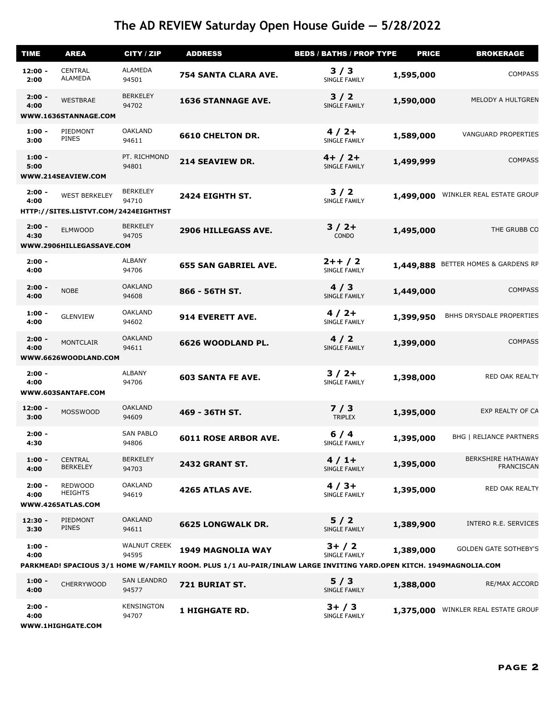| <b>TIME</b>       | <b>AREA</b>                                                  | CITY / ZIP                   | <b>ADDRESS</b>              | <b>BEDS / BATHS / PROP TYPE</b>                                                                                                                 | <b>PRICE</b> | <b>BROKERAGE</b>                               |
|-------------------|--------------------------------------------------------------|------------------------------|-----------------------------|-------------------------------------------------------------------------------------------------------------------------------------------------|--------------|------------------------------------------------|
| $12:00 -$<br>2:00 | <b>CENTRAL</b><br>ALAMEDA                                    | ALAMEDA<br>94501             | 754 SANTA CLARA AVE.        | 3/3<br><b>SINGLE FAMILY</b>                                                                                                                     | 1,595,000    | <b>COMPASS</b>                                 |
| $2:00 -$<br>4:00  | <b>WESTBRAE</b><br>WWW.1636STANNAGE.COM                      | <b>BERKELEY</b><br>94702     | <b>1636 STANNAGE AVE.</b>   | 3/2<br>SINGLE FAMILY                                                                                                                            | 1,590,000    | MELODY A HULTGREN                              |
| $1:00 -$<br>3:00  | PIEDMONT<br><b>PINES</b>                                     | <b>OAKLAND</b><br>94611      | <b>6610 CHELTON DR.</b>     | $4/2+$<br>SINGLE FAMILY                                                                                                                         | 1,589,000    | <b>VANGUARD PROPERTIES</b>                     |
| $1:00 -$<br>5:00  | WWW.214SEAVIEW.COM                                           | PT. RICHMOND<br>94801        | 214 SEAVIEW DR.             | $4+ / 2+$<br>SINGLE FAMILY                                                                                                                      | 1,499,999    | <b>COMPASS</b>                                 |
| $2:00 -$<br>4:00  | <b>WEST BERKELEY</b><br>HTTP://SITES.LISTVT.COM/2424EIGHTHST | <b>BERKELEY</b><br>94710     | 2424 EIGHTH ST.             | 3/2<br>SINGLE FAMILY                                                                                                                            | 1,499,000    | WINKLER REAL ESTATE GROUP                      |
| $2:00 -$<br>4:30  | <b>ELMWOOD</b><br>WWW.2906HILLEGASSAVE.COM                   | <b>BERKELEY</b><br>94705     | <b>2906 HILLEGASS AVE.</b>  | $3/2+$<br>CONDO                                                                                                                                 | 1,495,000    | THE GRUBB CO                                   |
| $2:00 -$<br>4:00  |                                                              | <b>ALBANY</b><br>94706       | <b>655 SAN GABRIEL AVE.</b> | $2++/2$<br>SINGLE FAMILY                                                                                                                        | 1,449,888    | BETTER HOMES & GARDENS RP                      |
| $2:00 -$<br>4:00  | <b>NOBE</b>                                                  | <b>OAKLAND</b><br>94608      | 866 - 56TH ST.              | 4/3<br>SINGLE FAMILY                                                                                                                            | 1,449,000    | <b>COMPASS</b>                                 |
| $1:00 -$<br>4:00  | <b>GLENVIEW</b>                                              | <b>OAKLAND</b><br>94602      | 914 EVERETT AVE.            | $4/2+$<br>SINGLE FAMILY                                                                                                                         | 1,399,950    | BHHS DRYSDALE PROPERTIES                       |
| $2:00 -$<br>4:00  | <b>MONTCLAIR</b><br>WWW.6626WOODLAND.COM                     | <b>OAKLAND</b><br>94611      | 6626 WOODLAND PL.           | 4/2<br>SINGLE FAMILY                                                                                                                            | 1,399,000    | <b>COMPASS</b>                                 |
| $2:00 -$<br>4:00  | WWW.603SANTAFE.COM                                           | <b>ALBANY</b><br>94706       | <b>603 SANTA FE AVE.</b>    | $3/2+$<br>SINGLE FAMILY                                                                                                                         | 1,398,000    | RED OAK REALTY                                 |
| $12:00 -$<br>3:00 | <b>MOSSWOOD</b>                                              | <b>OAKLAND</b><br>94609      | 469 - 36TH ST.              | 7/3<br><b>TRIPLEX</b>                                                                                                                           | 1,395,000    | EXP REALTY OF CA                               |
| $2:00 -$<br>4:30  |                                                              | <b>SAN PABLO</b><br>94806    | <b>6011 ROSE ARBOR AVE.</b> | $6/4$<br>SINGLE FAMILY                                                                                                                          | 1,395,000    | <b>BHG   RELIANCE PARTNERS</b>                 |
| $1:00 -$<br>4:00  | <b>CENTRAL</b><br><b>BERKELEY</b>                            | <b>BERKELEY</b><br>94703     | <b>2432 GRANT ST.</b>       | $4/1+$<br>SINGLE FAMILY                                                                                                                         | 1,395,000    | <b>BERKSHIRE HATHAWAY</b><br><b>FRANCISCAN</b> |
| $2:00 -$<br>4:00  | <b>REDWOOD</b><br><b>HEIGHTS</b><br>WWW.4265ATLAS.COM        | <b>OAKLAND</b><br>94619      | 4265 ATLAS AVE.             | $4/3+$<br>SINGLE FAMILY                                                                                                                         | 1,395,000    | RED OAK REALTY                                 |
| $12:30 -$<br>3:30 | PIEDMONT<br><b>PINES</b>                                     | <b>OAKLAND</b><br>94611      | <b>6625 LONGWALK DR.</b>    | $5/2$<br>SINGLE FAMILY                                                                                                                          | 1,389,900    | INTERO R.E. SERVICES                           |
| $1:00 -$<br>4:00  |                                                              | <b>WALNUT CREEK</b><br>94595 | <b>1949 MAGNOLIA WAY</b>    | $3+ / 2$<br>SINGLE FAMILY<br>PARKMEAD! SPACIOUS 3/1 HOME W/FAMILY ROOM. PLUS 1/1 AU-PAIR/INLAW LARGE INVITING YARD.OPEN KITCH. 1949MAGNOLIA.COM | 1,389,000    | <b>GOLDEN GATE SOTHEBY'S</b>                   |
|                   |                                                              |                              |                             |                                                                                                                                                 |              |                                                |
| $1:00 -$<br>4:00  | <b>CHERRYWOOD</b>                                            | <b>SAN LEANDRO</b><br>94577  | 721 BURIAT ST.              | 5/3<br>SINGLE FAMILY                                                                                                                            | 1,388,000    | RE/MAX ACCORD                                  |

| I:OO -<br>4:00   | <b>CHERRYWOOD</b> | <b>JAIV LLAIVURU</b><br>94577 | <b>721 BURIAT ST.</b> | 57 J<br>SINGLE FAMILY     | 1,388,000 | RE/MAX ACCORD             |
|------------------|-------------------|-------------------------------|-----------------------|---------------------------|-----------|---------------------------|
| $2:00 -$<br>4:00 |                   | KENSINGTON<br>94707           | <b>1 HIGHGATE RD.</b> | $3+ / 3$<br>SINGLE FAMILY | 1,375,000 | WINKLER REAL ESTATE GROUP |

**WWW.1HIGHGATE.COM**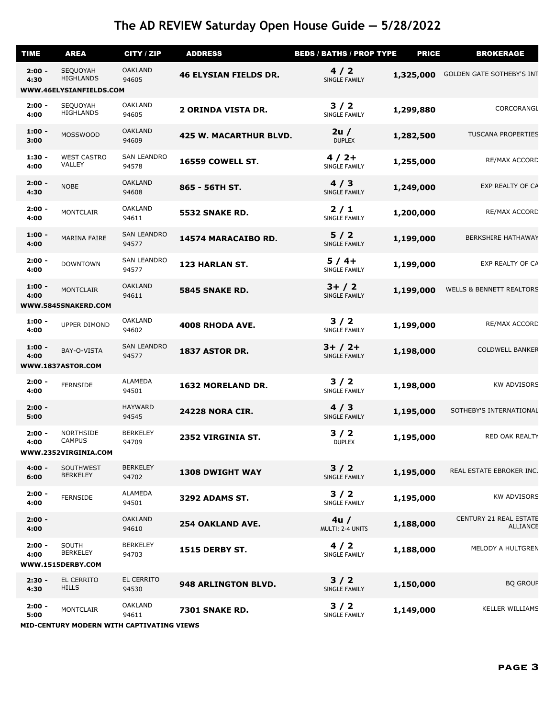| <b>TIME</b>      | <b>AREA</b>                                               | CITY / ZIP                  | <b>ADDRESS</b>                | <b>BEDS / BATHS / PROP TYPE</b> | <b>PRICE</b> | <b>BROKERAGE</b>                          |  |  |  |
|------------------|-----------------------------------------------------------|-----------------------------|-------------------------------|---------------------------------|--------------|-------------------------------------------|--|--|--|
| $2:00 -$<br>4:30 | SEQUOYAH<br><b>HIGHLANDS</b>                              | <b>OAKLAND</b><br>94605     | <b>46 ELYSIAN FIELDS DR.</b>  | 4/2<br>SINGLE FAMILY            | 1,325,000    | <b>GOLDEN GATE SOTHEBY'S INT</b>          |  |  |  |
|                  | WWW.46ELYSIANFIELDS.COM                                   |                             |                               |                                 |              |                                           |  |  |  |
| $2:00 -$<br>4:00 | SEQUOYAH<br><b>HIGHLANDS</b>                              | <b>OAKLAND</b><br>94605     | <b>2 ORINDA VISTA DR.</b>     | $3/2$<br>SINGLE FAMILY          | 1,299,880    | CORCORANGL                                |  |  |  |
| $1:00 -$<br>3:00 | <b>MOSSWOOD</b>                                           | <b>OAKLAND</b><br>94609     | <b>425 W. MACARTHUR BLVD.</b> | 2u/<br><b>DUPLEX</b>            | 1,282,500    | <b>TUSCANA PROPERTIES</b>                 |  |  |  |
| $1:30 -$<br>4:00 | <b>WEST CASTRO</b><br>VALLEY                              | <b>SAN LEANDRO</b><br>94578 | <b>16559 COWELL ST.</b>       | $4/2+$<br>SINGLE FAMILY         | 1,255,000    | RE/MAX ACCORD                             |  |  |  |
| $2:00 -$<br>4:30 | <b>NOBE</b>                                               | <b>OAKLAND</b><br>94608     | 865 - 56TH ST.                | 4/3<br>SINGLE FAMILY            | 1,249,000    | EXP REALTY OF CA                          |  |  |  |
| $2:00 -$<br>4:00 | MONTCLAIR                                                 | <b>OAKLAND</b><br>94611     | 5532 SNAKE RD.                | $2/1$<br>SINGLE FAMILY          | 1,200,000    | RE/MAX ACCORD                             |  |  |  |
| $1:00 -$<br>4:00 | MARINA FAIRE                                              | <b>SAN LEANDRO</b><br>94577 | 14574 MARACAIBO RD.           | $5/2$<br>SINGLE FAMILY          | 1,199,000    | <b>BERKSHIRE HATHAWAY</b>                 |  |  |  |
| $2:00 -$<br>4:00 | <b>DOWNTOWN</b>                                           | <b>SAN LEANDRO</b><br>94577 | 123 HARLAN ST.                | $5/4+$<br>SINGLE FAMILY         | 1,199,000    | EXP REALTY OF CA                          |  |  |  |
| $1:00 -$<br>4:00 | <b>MONTCLAIR</b><br>WWW.5845SNAKERD.COM                   | <b>OAKLAND</b><br>94611     | 5845 SNAKE RD.                | $3+ / 2$<br>SINGLE FAMILY       | 1,199,000    | <b>WELLS &amp; BENNETT REALTORS</b>       |  |  |  |
|                  |                                                           |                             |                               |                                 |              |                                           |  |  |  |
| $1:00 -$<br>4:00 | <b>UPPER DIMOND</b>                                       | <b>OAKLAND</b><br>94602     | 4008 RHODA AVE.               | $3/2$<br>SINGLE FAMILY          | 1,199,000    | RE/MAX ACCORD                             |  |  |  |
| $1:00 -$<br>4:00 | BAY-O-VISTA<br>WWW.1837ASTOR.COM                          | <b>SAN LEANDRO</b><br>94577 | 1837 ASTOR DR.                | $3+ / 2+$<br>SINGLE FAMILY      | 1,198,000    | <b>COLDWELL BANKER</b>                    |  |  |  |
|                  |                                                           |                             |                               |                                 |              |                                           |  |  |  |
| $2:00 -$<br>4:00 | <b>FERNSIDE</b>                                           | <b>ALAMEDA</b><br>94501     | 1632 MORELAND DR.             | $3/2$<br>SINGLE FAMILY          | 1,198,000    | <b>KW ADVISORS</b>                        |  |  |  |
| $2:00 -$<br>5:00 |                                                           | <b>HAYWARD</b><br>94545     | <b>24228 NORA CIR.</b>        | 4/3<br>SINGLE FAMILY            | 1,195,000    | SOTHEBY'S INTERNATIONAL                   |  |  |  |
| $2:00 -$<br>4:00 | <b>NORTHSIDE</b><br><b>CAMPUS</b><br>WWW.2352VIRGINIA.COM | <b>BERKELEY</b><br>94709    | 2352 VIRGINIA ST.             | $3/2$<br><b>DUPLEX</b>          | 1,195,000    | RED OAK REALTY                            |  |  |  |
|                  |                                                           |                             |                               |                                 |              |                                           |  |  |  |
| $4:00 -$<br>6:00 | SOUTHWEST<br><b>BERKELEY</b>                              | <b>BERKELEY</b><br>94702    | <b>1308 DWIGHT WAY</b>        | $3/2$<br>SINGLE FAMILY          | 1,195,000    | REAL ESTATE EBROKER INC.                  |  |  |  |
| $2:00 -$<br>4:00 | <b>FERNSIDE</b>                                           | <b>ALAMEDA</b><br>94501     | <b>3292 ADAMS ST.</b>         | $3/2$<br>SINGLE FAMILY          | 1,195,000    | <b>KW ADVISORS</b>                        |  |  |  |
| $2:00 -$<br>4:00 |                                                           | <b>OAKLAND</b><br>94610     | <b>254 OAKLAND AVE.</b>       | 4u/<br>MULTI: 2-4 UNITS         | 1,188,000    | CENTURY 21 REAL ESTATE<br><b>ALLIANCE</b> |  |  |  |
| $2:00 -$<br>4:00 | SOUTH<br><b>BERKELEY</b>                                  | <b>BERKELEY</b><br>94703    | <b>1515 DERBY ST.</b>         | 4/2<br>SINGLE FAMILY            | 1,188,000    | MELODY A HULTGREN                         |  |  |  |
|                  | WWW.1515DERBY.COM                                         |                             |                               |                                 |              |                                           |  |  |  |
| $2:30 -$<br>4:30 | EL CERRITO<br><b>HILLS</b>                                | EL CERRITO<br>94530         | 948 ARLINGTON BLVD.           | $3/2$<br>SINGLE FAMILY          | 1,150,000    | <b>BQ GROUP</b>                           |  |  |  |
| $2:00 -$<br>5:00 | <b>MONTCLAIR</b>                                          | <b>OAKLAND</b><br>94611     | <b>7301 SNAKE RD.</b>         | $3/2$<br>SINGLE FAMILY          | 1,149,000    | <b>KELLER WILLIAMS</b>                    |  |  |  |
|                  | MID-CENTURY MODERN WITH CAPTIVATING VIEWS                 |                             |                               |                                 |              |                                           |  |  |  |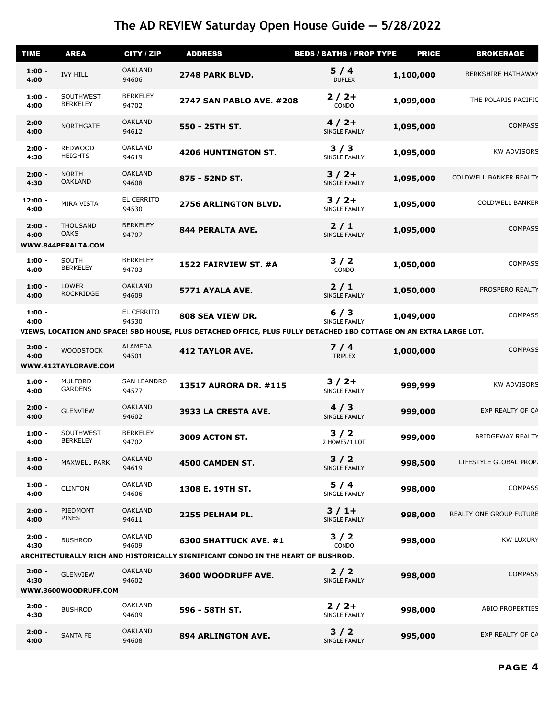| <b>TIME</b>       | <b>AREA</b>                              | CITY / ZIP                  | <b>ADDRESS</b>                                                                                                                         | <b>BEDS / BATHS / PROP TYPE</b> | <b>PRICE</b> | <b>BROKERAGE</b>          |
|-------------------|------------------------------------------|-----------------------------|----------------------------------------------------------------------------------------------------------------------------------------|---------------------------------|--------------|---------------------------|
| $1:00 -$<br>4:00  | <b>IVY HILL</b>                          | <b>OAKLAND</b><br>94606     | 2748 PARK BLVD.                                                                                                                        | 5/4<br><b>DUPLEX</b>            | 1,100,000    | <b>BERKSHIRE HATHAWAY</b> |
| $1:00 -$<br>4:00  | SOUTHWEST<br><b>BERKELEY</b>             | <b>BERKELEY</b><br>94702    | <b>2747 SAN PABLO AVE. #208</b>                                                                                                        | $2/2+$<br>CONDO                 | 1,099,000    | THE POLARIS PACIFIC       |
| $2:00 -$<br>4:00  | <b>NORTHGATE</b>                         | <b>OAKLAND</b><br>94612     | 550 - 25TH ST.                                                                                                                         | $4/2+$<br>SINGLE FAMILY         | 1,095,000    | <b>COMPASS</b>            |
| $2:00 -$<br>4:30  | <b>REDWOOD</b><br><b>HEIGHTS</b>         | <b>OAKLAND</b><br>94619     | <b>4206 HUNTINGTON ST.</b>                                                                                                             | 3/3<br>SINGLE FAMILY            | 1,095,000    | <b>KW ADVISORS</b>        |
| $2:00 -$<br>4:30  | <b>NORTH</b><br><b>OAKLAND</b>           | <b>OAKLAND</b><br>94608     | 875 - 52ND ST.                                                                                                                         | $3/2+$<br>SINGLE FAMILY         | 1,095,000    | COLDWELL BANKER REALTY    |
| $12:00 -$<br>4:00 | MIRA VISTA                               | EL CERRITO<br>94530         | 2756 ARLINGTON BLVD.                                                                                                                   | $3/2+$<br>SINGLE FAMILY         | 1,095,000    | <b>COLDWELL BANKER</b>    |
| $2:00 -$<br>4:00  | <b>THOUSAND</b><br><b>OAKS</b>           | <b>BERKELEY</b><br>94707    | 844 PERALTA AVE.                                                                                                                       | $2/1$<br>SINGLE FAMILY          | 1,095,000    | <b>COMPASS</b>            |
|                   | WWW.844PERALTA.COM                       |                             |                                                                                                                                        |                                 |              |                           |
| $1:00 -$<br>4:00  | SOUTH<br><b>BERKELEY</b>                 | <b>BERKELEY</b><br>94703    | 1522 FAIRVIEW ST. #A                                                                                                                   | $3/2$<br>CONDO                  | 1,050,000    | <b>COMPASS</b>            |
| $1:00 -$<br>4:00  | <b>LOWER</b><br><b>ROCKRIDGE</b>         | <b>OAKLAND</b><br>94609     | 5771 AYALA AVE.                                                                                                                        | $2/1$<br>SINGLE FAMILY          | 1,050,000    | PROSPERO REALTY           |
| $1:00 -$<br>4:00  |                                          | EL CERRITO<br>94530         | 808 SEA VIEW DR.<br>VIEWS, LOCATION AND SPACE! 5BD HOUSE, PLUS DETACHED OFFICE, PLUS FULLY DETACHED 1BD COTTAGE ON AN EXTRA LARGE LOT. | 6/3<br>SINGLE FAMILY            | 1,049,000    | <b>COMPASS</b>            |
|                   |                                          |                             |                                                                                                                                        |                                 |              |                           |
| $2:00 -$<br>4:00  | <b>WOODSTOCK</b><br>WWW.412TAYLORAVE.COM | ALAMEDA<br>94501            | <b>412 TAYLOR AVE.</b>                                                                                                                 | $7/4$<br><b>TRIPLEX</b>         | 1,000,000    | <b>COMPASS</b>            |
| $1:00 -$<br>4:00  | <b>MULFORD</b><br><b>GARDENS</b>         | <b>SAN LEANDRO</b><br>94577 | <b>13517 AURORA DR. #115</b>                                                                                                           | $3/2+$<br>SINGLE FAMILY         | 999,999      | <b>KW ADVISORS</b>        |
| $2:00 -$<br>4:00  | <b>GLENVIEW</b>                          | <b>OAKLAND</b><br>94602     | 3933 LA CRESTA AVE.                                                                                                                    | 4/3<br>SINGLE FAMILY            | 999,000      | EXP REALTY OF CA          |
| $1:00 -$<br>4:00  | SOUTHWEST<br><b>BERKELEY</b>             | <b>BERKELEY</b><br>94702    | <b>3009 ACTON ST.</b>                                                                                                                  | 3/2<br>2 HOMES/1 LOT            | 999,000      | <b>BRIDGEWAY REALTY</b>   |
| $1:00 -$<br>4:00  | MAXWELL PARK                             | <b>OAKLAND</b><br>94619     | 4500 CAMDEN ST.                                                                                                                        | $3/2$<br>SINGLE FAMILY          | 998,500      | LIFESTYLE GLOBAL PROP.    |
| $1:00 -$<br>4:00  | <b>CLINTON</b>                           | <b>OAKLAND</b><br>94606     | 1308 E. 19TH ST.                                                                                                                       | $5/4$<br>SINGLE FAMILY          | 998,000      | <b>COMPASS</b>            |
| $2:00 -$<br>4:00  | PIEDMONT<br><b>PINES</b>                 | <b>OAKLAND</b><br>94611     | 2255 PELHAM PL.                                                                                                                        | $3/1+$<br>SINGLE FAMILY         | 998,000      | REALTY ONE GROUP FUTURE   |
| $2:00 -$<br>4:30  | <b>BUSHROD</b>                           | <b>OAKLAND</b><br>94609     | 6300 SHATTUCK AVE. #1                                                                                                                  | 3/2<br>CONDO                    | 998,000      | <b>KW LUXURY</b>          |
|                   |                                          |                             | ARCHITECTURALLY RICH AND HISTORICALLY SIGNIFICANT CONDO IN THE HEART OF BUSHROD.                                                       |                                 |              |                           |
| $2:00 -$<br>4:30  | <b>GLENVIEW</b>                          | <b>OAKLAND</b><br>94602     | 3600 WOODRUFF AVE.                                                                                                                     | 2/2<br>SINGLE FAMILY            | 998,000      | <b>COMPASS</b>            |
|                   | WWW.3600WOODRUFF.COM                     |                             |                                                                                                                                        |                                 |              |                           |
| $2:00 -$<br>4:30  | <b>BUSHROD</b>                           | <b>OAKLAND</b><br>94609     | 596 - 58TH ST.                                                                                                                         | $2/2+$<br>SINGLE FAMILY         | 998,000      | <b>ABIO PROPERTIES</b>    |
| $2:00 -$<br>4:00  | <b>SANTA FE</b>                          | <b>OAKLAND</b><br>94608     | <b>894 ARLINGTON AVE.</b>                                                                                                              | $3/2$<br>SINGLE FAMILY          | 995,000      | EXP REALTY OF CA          |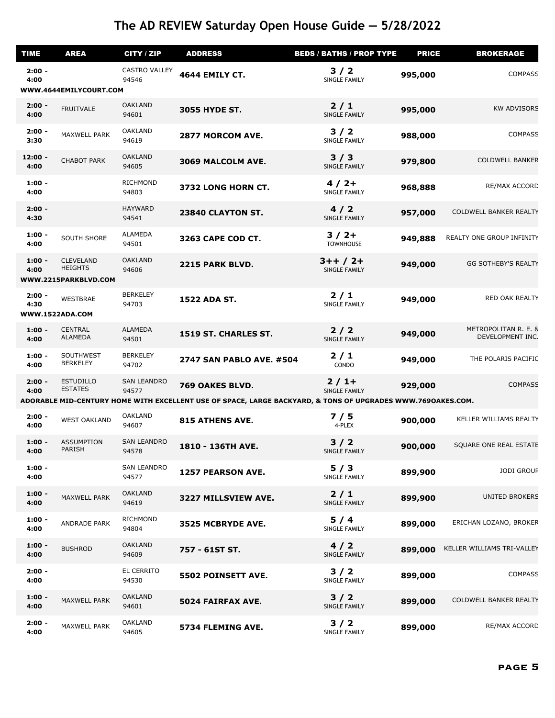| <b>TIME</b>            | <b>AREA</b>                                                | CITY / ZIP                    | <b>ADDRESS</b>                                                                                              | <b>BEDS / BATHS / PROP TYPE</b> | <b>PRICE</b> | <b>BROKERAGE</b>                         |  |  |
|------------------------|------------------------------------------------------------|-------------------------------|-------------------------------------------------------------------------------------------------------------|---------------------------------|--------------|------------------------------------------|--|--|
| $2:00 -$<br>4:00       |                                                            | <b>CASTRO VALLEY</b><br>94546 | <b>4644 EMILY CT.</b>                                                                                       | 3/2<br>SINGLE FAMILY            | 995,000      | <b>COMPASS</b>                           |  |  |
| WWW.4644EMILYCOURT.COM |                                                            |                               |                                                                                                             |                                 |              |                                          |  |  |
| $2:00 -$<br>4:00       | <b>FRUITVALE</b>                                           | <b>OAKLAND</b><br>94601       | <b>3055 HYDE ST.</b>                                                                                        | $2/1$<br>SINGLE FAMILY          | 995,000      | <b>KW ADVISORS</b>                       |  |  |
| $2:00 -$<br>3:30       | MAXWELL PARK                                               | <b>OAKLAND</b><br>94619       | 2877 MORCOM AVE.                                                                                            | 3/2<br>SINGLE FAMILY            | 988,000      | <b>COMPASS</b>                           |  |  |
| $12:00 -$<br>4:00      | <b>CHABOT PARK</b>                                         | <b>OAKLAND</b><br>94605       | 3069 MALCOLM AVE.                                                                                           | 3/3<br>SINGLE FAMILY            | 979,800      | <b>COLDWELL BANKER</b>                   |  |  |
| $1:00 -$<br>4:00       |                                                            | <b>RICHMOND</b><br>94803      | 3732 LONG HORN CT.                                                                                          | $4/2+$<br>SINGLE FAMILY         | 968,888      | RE/MAX ACCORD                            |  |  |
| $2:00 -$<br>4:30       |                                                            | <b>HAYWARD</b><br>94541       | 23840 CLAYTON ST.                                                                                           | 4/2<br>SINGLE FAMILY            | 957,000      | COLDWELL BANKER REALTY                   |  |  |
| $1:00 -$<br>4:00       | <b>SOUTH SHORE</b>                                         | <b>ALAMEDA</b><br>94501       | 3263 CAPE COD CT.                                                                                           | $3/2+$<br><b>TOWNHOUSE</b>      | 949,888      | REALTY ONE GROUP INFINITY                |  |  |
| $1:00 -$<br>4:00       | <b>CLEVELAND</b><br><b>HEIGHTS</b><br>WWW.2215PARKBLVD.COM | <b>OAKLAND</b><br>94606       | 2215 PARK BLVD.                                                                                             | $3++/2+$<br>SINGLE FAMILY       | 949,000      | <b>GG SOTHEBY'S REALTY</b>               |  |  |
| $2:00 -$<br>4:30       | <b>WESTBRAE</b>                                            | <b>BERKELEY</b><br>94703      | <b>1522 ADA ST.</b>                                                                                         | 2/1<br>SINGLE FAMILY            | 949,000      | RED OAK REALTY                           |  |  |
|                        | WWW.1522ADA.COM                                            |                               |                                                                                                             |                                 |              |                                          |  |  |
| $1:00 -$<br>4:00       | <b>CENTRAL</b><br><b>ALAMEDA</b>                           | <b>ALAMEDA</b><br>94501       | 1519 ST. CHARLES ST.                                                                                        | $2/2$<br>SINGLE FAMILY          | 949,000      | METROPOLITAN R. E. &<br>DEVELOPMENT INC. |  |  |
| $1:00 -$<br>4:00       | SOUTHWEST<br><b>BERKELEY</b>                               | <b>BERKELEY</b><br>94702      | <b>2747 SAN PABLO AVE. #504</b>                                                                             | $2/1$<br>CONDO                  | 949,000      | THE POLARIS PACIFIC                      |  |  |
| $2:00 -$<br>4:00       | <b>ESTUDILLO</b><br><b>ESTATES</b>                         | <b>SAN LEANDRO</b><br>94577   | 769 OAKES BLVD.                                                                                             | $2/1+$<br>SINGLE FAMILY         | 929,000      | <b>COMPASS</b>                           |  |  |
|                        |                                                            |                               | ADORABLE MID-CENTURY HOME WITH EXCELLENT USE OF SPACE, LARGE BACKYARD, & TONS OF UPGRADES WWW.769OAKES.COM. |                                 |              |                                          |  |  |
| $2:00 -$<br>4:00       | <b>WEST OAKLAND</b>                                        | <b>OAKLAND</b><br>94607       | 815 ATHENS AVE.                                                                                             | 7/5<br>4-PLEX                   | 900,000      | KELLER WILLIAMS REALTY                   |  |  |
| $1:00 -$<br>4:00       | <b>ASSUMPTION</b><br>PARISH                                | <b>SAN LEANDRO</b><br>94578   | 1810 - 136TH AVE.                                                                                           | 3/2<br>SINGLE FAMILY            | 900,000      | SQUARE ONE REAL ESTATE                   |  |  |
| $1:00 -$<br>4:00       |                                                            | <b>SAN LEANDRO</b><br>94577   | <b>1257 PEARSON AVE.</b>                                                                                    | 5/3<br><b>SINGLE FAMILY</b>     | 899,900      | <b>JODI GROUP</b>                        |  |  |
| $1:00 -$<br>4:00       | MAXWELL PARK                                               | <b>OAKLAND</b><br>94619       | 3227 MILLSVIEW AVE.                                                                                         | 2/1<br>SINGLE FAMILY            | 899,900      | <b>UNITED BROKERS</b>                    |  |  |
| $1:00 -$<br>4:00       | ANDRADE PARK                                               | <b>RICHMOND</b><br>94804      | 3525 MCBRYDE AVE.                                                                                           | 5/4<br>SINGLE FAMILY            | 899,000      | ERICHAN LOZANO, BROKER                   |  |  |
| $1:00 -$<br>4:00       | <b>BUSHROD</b>                                             | <b>OAKLAND</b><br>94609       | 757 - 61ST ST.                                                                                              | 4/2<br>SINGLE FAMILY            | 899,000      | KELLER WILLIAMS TRI-VALLEY               |  |  |
| $2:00 -$<br>4:00       |                                                            | EL CERRITO<br>94530           | 5502 POINSETT AVE.                                                                                          | 3/2<br>SINGLE FAMILY            | 899,000      | <b>COMPASS</b>                           |  |  |
| $1:00 -$<br>4:00       | MAXWELL PARK                                               | <b>OAKLAND</b><br>94601       | 5024 FAIRFAX AVE.                                                                                           | 3/2<br>SINGLE FAMILY            | 899,000      | COLDWELL BANKER REALTY                   |  |  |
| $2:00 -$<br>4:00       | MAXWELL PARK                                               | <b>OAKLAND</b><br>94605       | 5734 FLEMING AVE.                                                                                           | $3/2$<br>SINGLE FAMILY          | 899,000      | RE/MAX ACCORD                            |  |  |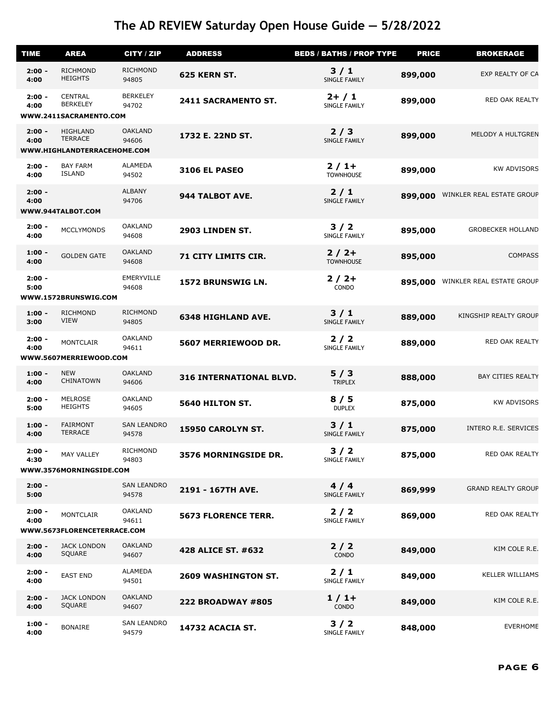| <b>TIME</b>      | <b>AREA</b>                                                 | <b>CITY / ZIP</b>           | <b>ADDRESS</b>                 | <b>BEDS / BATHS / PROP TYPE</b> | <b>PRICE</b> | <b>BROKERAGE</b>          |
|------------------|-------------------------------------------------------------|-----------------------------|--------------------------------|---------------------------------|--------------|---------------------------|
| $2:00 -$<br>4:00 | <b>RICHMOND</b><br><b>HEIGHTS</b>                           | <b>RICHMOND</b><br>94805    | 625 KERN ST.                   | 3/1<br>SINGLE FAMILY            | 899,000      | EXP REALTY OF CA          |
| $2:00 -$<br>4:00 | <b>CENTRAL</b><br><b>BERKELEY</b><br>WWW.2411SACRAMENTO.COM | <b>BERKELEY</b><br>94702    | 2411 SACRAMENTO ST.            | $2+ / 1$<br>SINGLE FAMILY       | 899,000      | RED OAK REALTY            |
| $2:00 -$         | HIGHLAND                                                    | <b>OAKLAND</b>              |                                | 2/3                             |              |                           |
| 4:00             | <b>TERRACE</b><br>WWW.HIGHLANDTERRACEHOME.COM               | 94606                       | 1732 E. 22ND ST.               | SINGLE FAMILY                   | 899,000      | MELODY A HULTGREN         |
| $2:00 -$<br>4:00 | <b>BAY FARM</b><br><b>ISLAND</b>                            | ALAMEDA<br>94502            | <b>3106 EL PASEO</b>           | $2/1+$<br><b>TOWNHOUSE</b>      | 899,000      | <b>KW ADVISORS</b>        |
| $2:00 -$<br>4:00 | WWW.944TALBOT.COM                                           | <b>ALBANY</b><br>94706      | 944 TALBOT AVE.                | 2/1<br>SINGLE FAMILY            | 899,000      | WINKLER REAL ESTATE GROUP |
| $2:00 -$<br>4:00 | <b>MCCLYMONDS</b>                                           | <b>OAKLAND</b><br>94608     | 2903 LINDEN ST.                | 3/2<br>SINGLE FAMILY            | 895,000      | <b>GROBECKER HOLLAND</b>  |
| $1:00 -$<br>4:00 | <b>GOLDEN GATE</b>                                          | <b>OAKLAND</b><br>94608     | 71 CITY LIMITS CIR.            | $2/2+$<br><b>TOWNHOUSE</b>      | 895,000      | <b>COMPASS</b>            |
| $2:00 -$<br>5:00 | WWW.1572BRUNSWIG.COM                                        | EMERYVILLE<br>94608         | 1572 BRUNSWIG LN.              | $2/2+$<br>CONDO                 | 895,000      | WINKLER REAL ESTATE GROUP |
| $1:00 -$<br>3:00 | RICHMOND<br><b>VIEW</b>                                     | <b>RICHMOND</b><br>94805    | <b>6348 HIGHLAND AVE.</b>      | 3/1<br>SINGLE FAMILY            | 889,000      | KINGSHIP REALTY GROUP     |
| $2:00 -$<br>4:00 | <b>MONTCLAIR</b><br>WWW.5607MERRIEWOOD.COM                  | <b>OAKLAND</b><br>94611     | 5607 MERRIEWOOD DR.            | $2/2$<br>SINGLE FAMILY          | 889,000      | RED OAK REALTY            |
| $1:00 -$         | <b>NEW</b>                                                  | <b>OAKLAND</b>              |                                | 5/3                             |              |                           |
| 4:00             | <b>CHINATOWN</b>                                            | 94606                       | <b>316 INTERNATIONAL BLVD.</b> | <b>TRIPLEX</b>                  | 888,000      | <b>BAY CITIES REALTY</b>  |
| $2:00 -$<br>5:00 | <b>MELROSE</b><br><b>HEIGHTS</b>                            | <b>OAKLAND</b><br>94605     | 5640 HILTON ST.                | 8/5<br><b>DUPLEX</b>            | 875,000      | <b>KW ADVISORS</b>        |
| $1:00 -$<br>4:00 | <b>FAIRMONT</b><br><b>TERRACE</b>                           | <b>SAN LEANDRO</b><br>94578 | 15950 CAROLYN ST.              | 3/1<br>SINGLE FAMILY            | 875,000      | INTERO R.E. SERVICES      |
| $2:00 -$<br>4:30 | <b>MAY VALLEY</b><br>WWW.3576MORNINGSIDE.COM                | <b>RICHMOND</b><br>94803    | 3576 MORNINGSIDE DR.           | 3/2<br>SINGLE FAMILY            | 875,000      | RED OAK REALTY            |
| $2:00 -$<br>5:00 |                                                             | <b>SAN LEANDRO</b><br>94578 | 2191 - 167TH AVE.              | 4/4<br>SINGLE FAMILY            | 869,999      | <b>GRAND REALTY GROUP</b> |
| $2:00 -$<br>4:00 | <b>MONTCLAIR</b><br>WWW.5673FLORENCETERRACE.COM             | <b>OAKLAND</b><br>94611     | <b>5673 FLORENCE TERR.</b>     | 2/2<br>SINGLE FAMILY            | 869,000      | RED OAK REALTY            |
| $2:00 -$         | <b>JACK LONDON</b>                                          | <b>OAKLAND</b>              |                                | $2/2$                           |              |                           |
| 4:00             | SQUARE                                                      | 94607                       | 428 ALICE ST. #632             | CONDO                           | 849,000      | KIM COLE R.E.             |
| $2:00 -$<br>4:00 | <b>EAST END</b>                                             | <b>ALAMEDA</b><br>94501     | <b>2609 WASHINGTON ST.</b>     | $2/1$<br>SINGLE FAMILY          | 849,000      | <b>KELLER WILLIAMS</b>    |
| $2:00 -$<br>4:00 | <b>JACK LONDON</b><br>SQUARE                                | <b>OAKLAND</b><br>94607     | <b>222 BROADWAY #805</b>       | $1/1+$<br>CONDO                 | 849,000      | KIM COLE R.E.             |
| $1:00 -$<br>4:00 | <b>BONAIRE</b>                                              | <b>SAN LEANDRO</b><br>94579 | 14732 ACACIA ST.               | $3/2$<br>SINGLE FAMILY          | 848,000      | <b>EVERHOME</b>           |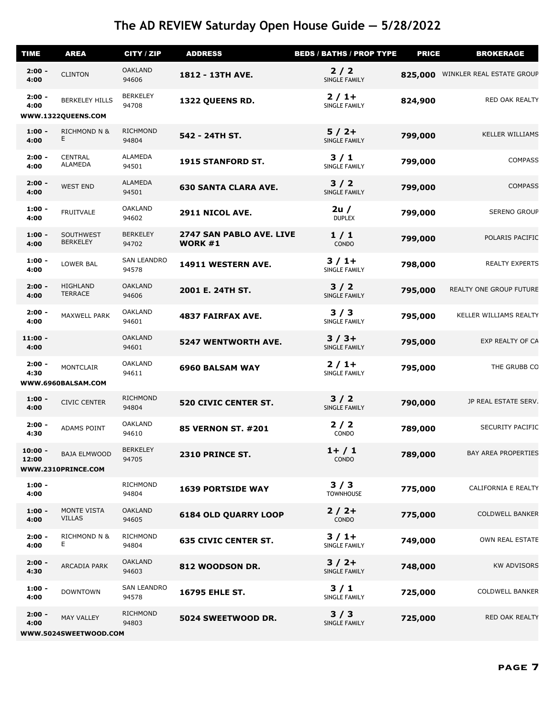| <b>TIME</b>        | <b>AREA</b>                                 | CITY / ZIP                  | <b>ADDRESS</b>                             | <b>BEDS / BATHS / PROP TYPE</b> | <b>PRICE</b> | <b>BROKERAGE</b>           |
|--------------------|---------------------------------------------|-----------------------------|--------------------------------------------|---------------------------------|--------------|----------------------------|
| $2:00 -$<br>4:00   | <b>CLINTON</b>                              | <b>OAKLAND</b><br>94606     | 1812 - 13TH AVE.                           | $2/2$<br>SINGLE FAMILY          | 825,000      | WINKLER REAL ESTATE GROUP  |
| $2:00 -$<br>4:00   | <b>BERKELEY HILLS</b><br>WWW.1322QUEENS.COM | <b>BERKELEY</b><br>94708    | 1322 QUEENS RD.                            | $2/1+$<br>SINGLE FAMILY         | 824,900      | RED OAK REALTY             |
| $1:00 -$<br>4:00   | <b>RICHMOND N &amp;</b><br>E.               | <b>RICHMOND</b><br>94804    | 542 - 24TH ST.                             | $5/2+$<br>SINGLE FAMILY         | 799,000      | <b>KELLER WILLIAMS</b>     |
| $2:00 -$<br>4:00   | <b>CENTRAL</b><br><b>ALAMEDA</b>            | <b>ALAMEDA</b><br>94501     | 1915 STANFORD ST.                          | 3/1<br>SINGLE FAMILY            | 799,000      | <b>COMPASS</b>             |
| $2:00 -$<br>4:00   | <b>WEST END</b>                             | <b>ALAMEDA</b><br>94501     | <b>630 SANTA CLARA AVE.</b>                | 3/2<br>SINGLE FAMILY            | 799,000      | <b>COMPASS</b>             |
| $1:00 -$<br>4:00   | <b>FRUITVALE</b>                            | <b>OAKLAND</b><br>94602     | 2911 NICOL AVE.                            | 2u/<br><b>DUPLEX</b>            | 799,000      | <b>SERENO GROUP</b>        |
| $1:00 -$<br>4:00   | SOUTHWEST<br><b>BERKELEY</b>                | <b>BERKELEY</b><br>94702    | 2747 SAN PABLO AVE. LIVE<br><b>WORK #1</b> | 1/1<br>CONDO                    | 799,000      | POLARIS PACIFIC            |
| $1:00 -$<br>4:00   | LOWER BAL                                   | <b>SAN LEANDRO</b><br>94578 | 14911 WESTERN AVE.                         | $3/1+$<br>SINGLE FAMILY         | 798,000      | <b>REALTY EXPERTS</b>      |
| $2:00 -$<br>4:00   | <b>HIGHLAND</b><br><b>TERRACE</b>           | <b>OAKLAND</b><br>94606     | 2001 E. 24TH ST.                           | $3/2$<br>SINGLE FAMILY          | 795,000      | REALTY ONE GROUP FUTURE    |
| $2:00 -$<br>4:00   | MAXWELL PARK                                | <b>OAKLAND</b><br>94601     | <b>4837 FAIRFAX AVE.</b>                   | 3/3<br>SINGLE FAMILY            | 795,000      | KELLER WILLIAMS REALTY     |
| $11:00 -$<br>4:00  |                                             | <b>OAKLAND</b><br>94601     | <b>5247 WENTWORTH AVE.</b>                 | $3/3+$<br>SINGLE FAMILY         | 795,000      | EXP REALTY OF CA           |
| $2:00 -$<br>4:30   | <b>MONTCLAIR</b><br>WWW.6960BALSAM.COM      | <b>OAKLAND</b><br>94611     | <b>6960 BALSAM WAY</b>                     | $2/1+$<br>SINGLE FAMILY         | 795,000      | THE GRUBB CO               |
| $1:00 -$<br>4:00   | <b>CIVIC CENTER</b>                         | <b>RICHMOND</b><br>94804    | <b>520 CIVIC CENTER ST.</b>                | $3/2$<br>SINGLE FAMILY          | 790,000      | JP REAL ESTATE SERV.       |
| $2:00 -$<br>4:30   | ADAMS POINT                                 | <b>OAKLAND</b><br>94610     | <b>85 VERNON ST. #201</b>                  | $2/2$<br>CONDO                  | 789,000      | SECURITY PACIFIC           |
| $10:00 -$<br>12:00 | <b>BAJA ELMWOOD</b><br>WWW.2310PRINCE.COM   | <b>BERKELEY</b><br>94705    | 2310 PRINCE ST.                            | $1 + / 1$<br>CONDO              | 789,000      | <b>BAY AREA PROPERTIES</b> |
| $1:00 -$<br>4:00   |                                             | <b>RICHMOND</b><br>94804    | <b>1639 PORTSIDE WAY</b>                   | 3/3<br><b>TOWNHOUSE</b>         | 775,000      | CALIFORNIA E REALTY        |
| $1:00 -$<br>4:00   | <b>MONTE VISTA</b><br><b>VILLAS</b>         | <b>OAKLAND</b><br>94605     | <b>6184 OLD QUARRY LOOP</b>                | $2/2+$<br>CONDO                 | 775,000      | <b>COLDWELL BANKER</b>     |
| $2:00 -$<br>4:00   | <b>RICHMOND N &amp;</b><br>Е                | <b>RICHMOND</b><br>94804    | <b>635 CIVIC CENTER ST.</b>                | $3/1+$<br>SINGLE FAMILY         | 749,000      | OWN REAL ESTATE            |
| $2:00 -$<br>4:30   | ARCADIA PARK                                | <b>OAKLAND</b><br>94603     | 812 WOODSON DR.                            | $3/2+$<br>SINGLE FAMILY         | 748,000      | <b>KW ADVISORS</b>         |
| $1:00 -$<br>4:00   | <b>DOWNTOWN</b>                             | <b>SAN LEANDRO</b><br>94578 | <b>16795 EHLE ST.</b>                      | 3/1<br>SINGLE FAMILY            | 725,000      | <b>COLDWELL BANKER</b>     |
| $2:00 -$<br>4:00   | MAY VALLEY<br>WWW.5024SWEETWOOD.COM         | <b>RICHMOND</b><br>94803    | 5024 SWEETWOOD DR.                         | 3/3<br>SINGLE FAMILY            | 725,000      | RED OAK REALTY             |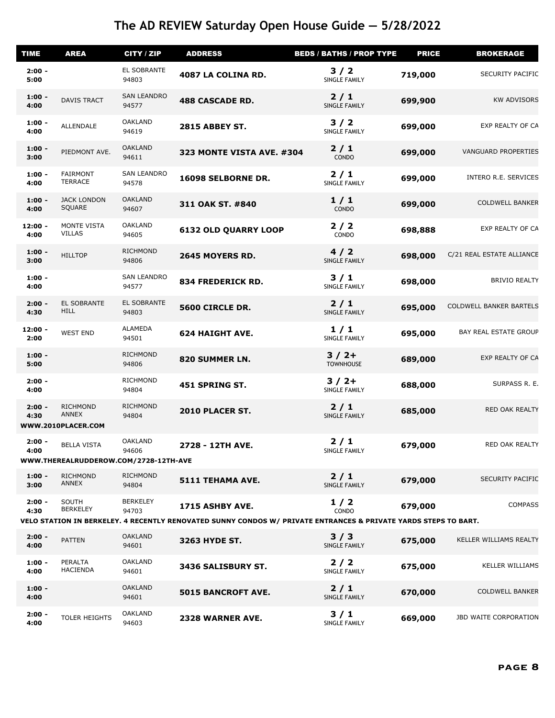| <b>TIME</b>       | <b>AREA</b>                                                 | CITY / ZIP                  | <b>ADDRESS</b>                                                                                                                     | <b>BEDS / BATHS / PROP TYPE</b> | <b>PRICE</b> | <b>BROKERAGE</b>             |
|-------------------|-------------------------------------------------------------|-----------------------------|------------------------------------------------------------------------------------------------------------------------------------|---------------------------------|--------------|------------------------------|
| $2:00 -$<br>5:00  |                                                             | EL SOBRANTE<br>94803        | 4087 LA COLINA RD.                                                                                                                 | $3/2$<br>SINGLE FAMILY          | 719,000      | <b>SECURITY PACIFIC</b>      |
| $1:00 -$<br>4:00  | <b>DAVIS TRACT</b>                                          | <b>SAN LEANDRO</b><br>94577 | <b>488 CASCADE RD.</b>                                                                                                             | $2/1$<br>SINGLE FAMILY          | 699,900      | <b>KW ADVISORS</b>           |
| $1:00 -$<br>4:00  | <b>ALLENDALE</b>                                            | <b>OAKLAND</b><br>94619     | <b>2815 ABBEY ST.</b>                                                                                                              | $3/2$<br>SINGLE FAMILY          | 699,000      | EXP REALTY OF CA             |
| $1:00 -$<br>3:00  | PIEDMONT AVE.                                               | <b>OAKLAND</b><br>94611     | <b>323 MONTE VISTA AVE. #304</b>                                                                                                   | $2/1$<br>CONDO                  | 699,000      | <b>VANGUARD PROPERTIES</b>   |
| $1:00 -$<br>4:00  | <b>FAIRMONT</b><br><b>TERRACE</b>                           | <b>SAN LEANDRO</b><br>94578 | 16098 SELBORNE DR.                                                                                                                 | $2/1$<br>SINGLE FAMILY          | 699,000      | INTERO R.E. SERVICES         |
| $1:00 -$<br>4:00  | <b>JACK LONDON</b><br>SQUARE                                | <b>OAKLAND</b><br>94607     | 311 OAK ST. #840                                                                                                                   | 1/1<br>CONDO                    | 699,000      | <b>COLDWELL BANKER</b>       |
| $12:00 -$<br>4:00 | MONTE VISTA<br><b>VILLAS</b>                                | <b>OAKLAND</b><br>94605     | <b>6132 OLD QUARRY LOOP</b>                                                                                                        | $2/2$<br>CONDO                  | 698,888      | EXP REALTY OF CA             |
| $1:00 -$<br>3:00  | <b>HILLTOP</b>                                              | <b>RICHMOND</b><br>94806    | 2645 MOYERS RD.                                                                                                                    | 4/2<br>SINGLE FAMILY            | 698,000      | C/21 REAL ESTATE ALLIANCE    |
| $1:00 -$<br>4:00  |                                                             | <b>SAN LEANDRO</b><br>94577 | 834 FREDERICK RD.                                                                                                                  | 3/1<br>SINGLE FAMILY            | 698,000      | <b>BRIVIO REALTY</b>         |
| $2:00 -$<br>4:30  | EL SOBRANTE<br><b>HILL</b>                                  | EL SOBRANTE<br>94803        | 5600 CIRCLE DR.                                                                                                                    | $2/1$<br>SINGLE FAMILY          | 695,000      | COLDWELL BANKER BARTELS      |
| $12:00 -$<br>2:00 | <b>WEST END</b>                                             | <b>ALAMEDA</b><br>94501     | <b>624 HAIGHT AVE.</b>                                                                                                             | 1/1<br>SINGLE FAMILY            | 695,000      | <b>BAY REAL ESTATE GROUP</b> |
| $1:00 -$<br>5:00  |                                                             | <b>RICHMOND</b><br>94806    | 820 SUMMER LN.                                                                                                                     | $3/2+$<br><b>TOWNHOUSE</b>      | 689,000      | EXP REALTY OF CA             |
| $2:00 -$<br>4:00  |                                                             | RICHMOND<br>94804           | 451 SPRING ST.                                                                                                                     | $3/2+$<br>SINGLE FAMILY         | 688,000      | SURPASS R. E.                |
| $2:00 -$<br>4:30  | <b>RICHMOND</b><br><b>ANNEX</b><br>WWW.2010PLACER.COM       | <b>RICHMOND</b><br>94804    | 2010 PLACER ST.                                                                                                                    | $2/1$<br>SINGLE FAMILY          | 685,000      | RED OAK REALTY               |
| $2:00 -$<br>4:00  | <b>BELLA VISTA</b><br>WWW.THEREALRUDDEROW.COM/2728-12TH-AVE | <b>OAKLAND</b><br>94606     | 2728 - 12TH AVE.                                                                                                                   | $2/1$<br>SINGLE FAMILY          | 679,000      | RED OAK REALTY               |
| $1:00 -$<br>3:00  | <b>RICHMOND</b><br>ANNEX                                    | <b>RICHMOND</b><br>94804    | 5111 TEHAMA AVE.                                                                                                                   | $2/1$<br>SINGLE FAMILY          | 679,000      | <b>SECURITY PACIFIC</b>      |
| $2:00 -$<br>4:30  | SOUTH<br><b>BERKELEY</b>                                    | <b>BERKELEY</b><br>94703    | 1715 ASHBY AVE.<br>VELO STATION IN BERKELEY. 4 RECENTLY RENOVATED SUNNY CONDOS W/ PRIVATE ENTRANCES & PRIVATE YARDS STEPS TO BART. | $1/2$<br>CONDO                  | 679,000      | <b>COMPASS</b>               |
| $2:00 -$<br>4:00  | <b>PATTEN</b>                                               | <b>OAKLAND</b><br>94601     | 3263 HYDE ST.                                                                                                                      | 3/3<br>SINGLE FAMILY            | 675,000      | KELLER WILLIAMS REALTY       |
| $1:00 -$<br>4:00  | PERALTA<br><b>HACIENDA</b>                                  | <b>OAKLAND</b><br>94601     | 3436 SALISBURY ST.                                                                                                                 | $2/2$<br>SINGLE FAMILY          | 675,000      | <b>KELLER WILLIAMS</b>       |
| $1:00 -$<br>4:00  |                                                             | <b>OAKLAND</b><br>94601     | 5015 BANCROFT AVE.                                                                                                                 | $2/1$<br>SINGLE FAMILY          | 670,000      | <b>COLDWELL BANKER</b>       |
| $2:00 -$<br>4:00  | TOLER HEIGHTS                                               | OAKLAND<br>94603            | 2328 WARNER AVE.                                                                                                                   | 3/1<br>SINGLE FAMILY            | 669,000      | JBD WAITE CORPORATION        |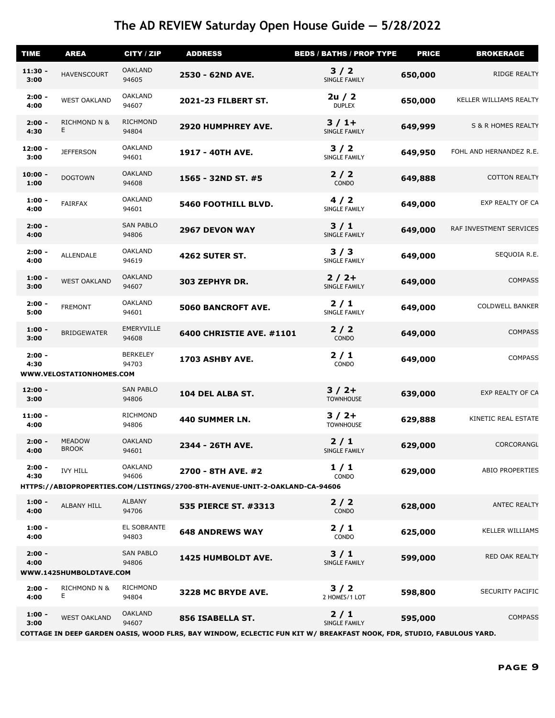| <b>TIME</b>       | <b>AREA</b>                   | CITY / ZIP                | <b>ADDRESS</b>                                                                                    | <b>BEDS / BATHS / PROP TYPE</b> | <b>PRICE</b> | <b>BROKERAGE</b>        |
|-------------------|-------------------------------|---------------------------|---------------------------------------------------------------------------------------------------|---------------------------------|--------------|-------------------------|
| $11:30 -$<br>3:00 | <b>HAVENSCOURT</b>            | <b>OAKLAND</b><br>94605   | 2530 - 62ND AVE.                                                                                  | $3/2$<br>SINGLE FAMILY          | 650,000      | RIDGE REALTY            |
| $2:00 -$<br>4:00  | <b>WEST OAKLAND</b>           | <b>OAKLAND</b><br>94607   | 2021-23 FILBERT ST.                                                                               | 2u / 2<br><b>DUPLEX</b>         | 650,000      | KELLER WILLIAMS REALTY  |
| $2:00 -$<br>4:30  | <b>RICHMOND N &amp;</b><br>Е. | <b>RICHMOND</b><br>94804  | <b>2920 HUMPHREY AVE.</b>                                                                         | $3/1+$<br>SINGLE FAMILY         | 649,999      | S & R HOMES REALTY      |
| $12:00 -$<br>3:00 | <b>JEFFERSON</b>              | <b>OAKLAND</b><br>94601   | 1917 - 40TH AVE.                                                                                  | $3/2$<br>SINGLE FAMILY          | 649,950      | FOHL AND HERNANDEZ R.E. |
| $10:00 -$<br>1:00 | <b>DOGTOWN</b>                | <b>OAKLAND</b><br>94608   | 1565 - 32ND ST. #5                                                                                | $2/2$<br>CONDO                  | 649,888      | <b>COTTON REALTY</b>    |
| $1:00 -$<br>4:00  | <b>FAIRFAX</b>                | <b>OAKLAND</b><br>94601   | 5460 FOOTHILL BLVD.                                                                               | 4/2<br>SINGLE FAMILY            | 649,000      | EXP REALTY OF CA        |
| $2:00 -$<br>4:00  |                               | <b>SAN PABLO</b><br>94806 | 2967 DEVON WAY                                                                                    | $3/1$<br>SINGLE FAMILY          | 649,000      | RAF INVESTMENT SERVICES |
| $2:00 -$<br>4:00  | ALLENDALE                     | <b>OAKLAND</b><br>94619   | <b>4262 SUTER ST.</b>                                                                             | 3/3<br>SINGLE FAMILY            | 649,000      | SEQUOIA R.E.            |
| $1:00 -$<br>3:00  | <b>WEST OAKLAND</b>           | <b>OAKLAND</b><br>94607   | 303 ZEPHYR DR.                                                                                    | $2/2+$<br>SINGLE FAMILY         | 649,000      | <b>COMPASS</b>          |
| $2:00 -$<br>5:00  | <b>FREMONT</b>                | <b>OAKLAND</b><br>94601   | 5060 BANCROFT AVE.                                                                                | $2/1$<br>SINGLE FAMILY          | 649,000      | <b>COLDWELL BANKER</b>  |
| $1:00 -$<br>3:00  | <b>BRIDGEWATER</b>            | EMERYVILLE<br>94608       | <b>6400 CHRISTIE AVE. #1101</b>                                                                   | $2/2$<br><b>CONDO</b>           | 649,000      | <b>COMPASS</b>          |
| $2:00 -$<br>4:30  | WWW.VELOSTATIONHOMES.COM      | <b>BERKELEY</b><br>94703  | 1703 ASHBY AVE.                                                                                   | $2/1$<br>CONDO                  | 649,000      | <b>COMPASS</b>          |
| $12:00 -$<br>3:00 |                               | <b>SAN PABLO</b><br>94806 | 104 DEL ALBA ST.                                                                                  | $3/2+$<br><b>TOWNHOUSE</b>      | 639,000      | EXP REALTY OF CA        |
| $11:00 -$<br>4:00 |                               | <b>RICHMOND</b><br>94806  | 440 SUMMER LN.                                                                                    | $3/2+$<br><b>TOWNHOUSE</b>      | 629,888      | KINETIC REAL ESTATE     |
| $2:00 -$<br>4:00  | <b>MEADOW</b><br><b>BROOK</b> | <b>OAKLAND</b><br>94601   | 2344 - 26TH AVE.                                                                                  | $2/1$<br>SINGLE FAMILY          | 629,000      | CORCORANGL              |
| $2:00 -$<br>4:30  | <b>IVY HILL</b>               | <b>OAKLAND</b><br>94606   | 2700 - 8TH AVE. #2<br>HTTPS://ABIOPROPERTIES.COM/LISTINGS/2700-8TH-AVENUE-UNIT-2-OAKLAND-CA-94606 | 1/1<br>CONDO                    | 629,000      | ABIO PROPERTIES         |
| $1:00 -$<br>4:00  | ALBANY HILL                   | <b>ALBANY</b><br>94706    | 535 PIERCE ST. #3313                                                                              | 2/2<br>CONDO                    | 628,000      | <b>ANTEC REALTY</b>     |
| $1:00 -$<br>4:00  |                               | EL SOBRANTE<br>94803      | <b>648 ANDREWS WAY</b>                                                                            | $2/1$<br>CONDO                  | 625,000      | <b>KELLER WILLIAMS</b>  |
| $2:00 -$<br>4:00  | WWW.1425HUMBOLDTAVE.COM       | <b>SAN PABLO</b><br>94806 | 1425 HUMBOLDT AVE.                                                                                | 3/1<br>SINGLE FAMILY            | 599,000      | RED OAK REALTY          |
| $2:00 -$<br>4:00  | <b>RICHMOND N &amp;</b><br>E. | <b>RICHMOND</b><br>94804  | 3228 MC BRYDE AVE.                                                                                | $3/2$<br>2 HOMES/1 LOT          | 598,800      | <b>SECURITY PACIFIC</b> |
| $1:00 -$<br>3:00  | <b>WEST OAKLAND</b>           | <b>OAKLAND</b><br>94607   | <b>856 ISABELLA ST.</b>                                                                           | $2/1$<br>SINGLE FAMILY          | 595,000      | <b>COMPASS</b>          |

**COTTAGE IN DEEP GARDEN OASIS, WOOD FLRS, BAY WINDOW, ECLECTIC FUN KIT W/ BREAKFAST NOOK, FDR, STUDIO, FABULOUS YARD.**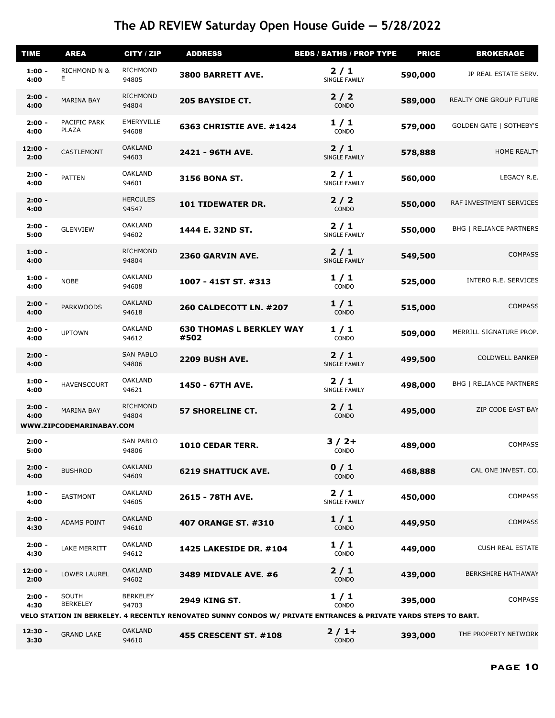| <b>TIME</b>       | <b>AREA</b>                            | <b>CITY / ZIP</b>         | <b>ADDRESS</b>                                                                                                                          | <b>BEDS / BATHS / PROP TYPE</b> | <b>PRICE</b> | <b>BROKERAGE</b>               |
|-------------------|----------------------------------------|---------------------------|-----------------------------------------------------------------------------------------------------------------------------------------|---------------------------------|--------------|--------------------------------|
| $1:00 -$<br>4:00  | <b>RICHMOND N &amp;</b><br>E.          | <b>RICHMOND</b><br>94805  | <b>3800 BARRETT AVE.</b>                                                                                                                | $2/1$<br>SINGLE FAMILY          | 590,000      | JP REAL ESTATE SERV.           |
| $2:00 -$<br>4:00  | <b>MARINA BAY</b>                      | <b>RICHMOND</b><br>94804  | <b>205 BAYSIDE CT.</b>                                                                                                                  | 2/2<br>CONDO                    | 589,000      | <b>REALTY ONE GROUP FUTURE</b> |
| $2:00 -$<br>4:00  | PACIFIC PARK<br>PLAZA                  | EMERYVILLE<br>94608       | <b>6363 CHRISTIE AVE. #1424</b>                                                                                                         | 1/1<br>CONDO                    | 579,000      | <b>GOLDEN GATE   SOTHEBY'S</b> |
| $12:00 -$<br>2:00 | CASTLEMONT                             | <b>OAKLAND</b><br>94603   | 2421 - 96TH AVE.                                                                                                                        | $2/1$<br><b>SINGLE FAMILY</b>   | 578,888      | <b>HOME REALTY</b>             |
| $2:00 -$<br>4:00  | <b>PATTEN</b>                          | <b>OAKLAND</b><br>94601   | <b>3156 BONA ST.</b>                                                                                                                    | $2/1$<br>SINGLE FAMILY          | 560,000      | LEGACY R.E.                    |
| $2:00 -$<br>4:00  |                                        | <b>HERCULES</b><br>94547  | <b>101 TIDEWATER DR.</b>                                                                                                                | 2/2<br>CONDO                    | 550,000      | RAF INVESTMENT SERVICES        |
| $2:00 -$<br>5:00  | <b>GLENVIEW</b>                        | <b>OAKLAND</b><br>94602   | 1444 E. 32ND ST.                                                                                                                        | $2/1$<br><b>SINGLE FAMILY</b>   | 550,000      | <b>BHG   RELIANCE PARTNERS</b> |
| $1:00 -$<br>4:00  |                                        | <b>RICHMOND</b><br>94804  | 2360 GARVIN AVE.                                                                                                                        | 2/1<br>SINGLE FAMILY            | 549,500      | <b>COMPASS</b>                 |
| $1:00 -$<br>4:00  | <b>NOBE</b>                            | <b>OAKLAND</b><br>94608   | 1007 - 41ST ST. #313                                                                                                                    | 1/1<br>CONDO                    | 525,000      | <b>INTERO R.E. SERVICES</b>    |
| $2:00 -$<br>4:00  | <b>PARKWOODS</b>                       | <b>OAKLAND</b><br>94618   | <b>260 CALDECOTT LN. #207</b>                                                                                                           | 1/1<br>CONDO                    | 515,000      | <b>COMPASS</b>                 |
| $2:00 -$<br>4:00  | <b>UPTOWN</b>                          | <b>OAKLAND</b><br>94612   | <b>630 THOMAS L BERKLEY WAY</b><br>#502                                                                                                 | 1/1<br>CONDO                    | 509,000      | MERRILL SIGNATURE PROP.        |
| $2:00 -$<br>4:00  |                                        | <b>SAN PABLO</b><br>94806 | <b>2209 BUSH AVE.</b>                                                                                                                   | $2/1$<br>SINGLE FAMILY          | 499,500      | <b>COLDWELL BANKER</b>         |
| $1:00 -$<br>4:00  | <b>HAVENSCOURT</b>                     | <b>OAKLAND</b><br>94621   | 1450 - 67TH AVE.                                                                                                                        | $2/1$<br>SINGLE FAMILY          | 498,000      | <b>BHG   RELIANCE PARTNERS</b> |
| $2:00 -$<br>4:00  | MARINA BAY<br>WWW.ZIPCODEMARINABAY.COM | <b>RICHMOND</b><br>94804  | <b>57 SHORELINE CT.</b>                                                                                                                 | $2/1$<br>CONDO                  | 495,000      | ZIP CODE EAST BAY              |
| $2:00 -$<br>5:00  |                                        | <b>SAN PABLO</b><br>94806 | 1010 CEDAR TERR.                                                                                                                        | $3/2+$<br>CONDO                 | 489,000      | <b>COMPASS</b>                 |
| $2:00 -$<br>4:00  | <b>BUSHROD</b>                         | <b>OAKLAND</b><br>94609   | <b>6219 SHATTUCK AVE.</b>                                                                                                               | 0/1<br>CONDO                    | 468,888      | CAL ONE INVEST. CO.            |
| $1:00 -$<br>4:00  | <b>EASTMONT</b>                        | <b>OAKLAND</b><br>94605   | 2615 - 78TH AVE.                                                                                                                        | $2/1$<br>SINGLE FAMILY          | 450,000      | <b>COMPASS</b>                 |
| $2:00 -$<br>4:30  | ADAMS POINT                            | <b>OAKLAND</b><br>94610   | <b>407 ORANGE ST. #310</b>                                                                                                              | 1/1<br>CONDO                    | 449,950      | <b>COMPASS</b>                 |
| $2:00 -$<br>4:30  | LAKE MERRITT                           | <b>OAKLAND</b><br>94612   | <b>1425 LAKESIDE DR. #104</b>                                                                                                           | 1/1<br>CONDO                    | 449,000      | <b>CUSH REAL ESTATE</b>        |
| $12:00 -$<br>2:00 | LOWER LAUREL                           | <b>OAKLAND</b><br>94602   | 3489 MIDVALE AVE. #6                                                                                                                    | $2/1$<br>CONDO                  | 439,000      | <b>BERKSHIRE HATHAWAY</b>      |
| $2:00 -$<br>4:30  | <b>SOUTH</b><br><b>BERKELEY</b>        | <b>BERKELEY</b><br>94703  | <b>2949 KING ST.</b><br>VELO STATION IN BERKELEY. 4 RECENTLY RENOVATED SUNNY CONDOS W/ PRIVATE ENTRANCES & PRIVATE YARDS STEPS TO BART. | 1/1<br>CONDO                    | 395,000      | <b>COMPASS</b>                 |
| $12:30 -$         |                                        | <b>OAKLAND</b>            |                                                                                                                                         | $2/1+$                          |              |                                |
| 3:30              | <b>GRAND LAKE</b>                      | 94610                     | <b>455 CRESCENT ST. #108</b>                                                                                                            | CONDO                           | 393,000      | THE PROPERTY NETWORK           |